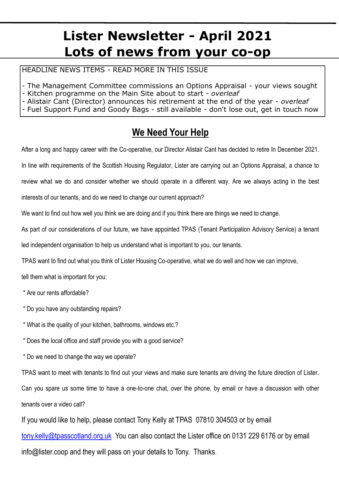# **Lister Newsletter - April 2021 Lots of news from your co-op**

HEADLINE NEWS ITEMS - READ MORE IN THIS ISSUE

- The Management Committee commissions an Options Appraisal your views sought
- Kitchen programme on the Main Site about to start *overleaf*
- Alistair Cant (Director) announces his retirement at the end of the year *overleaf*
- Fuel Support Fund and Goody Bags still available don't lose out, get in touch now

### **We Need Your Help**

After a long and happy career with the Co-operative, our Director Alistair Cant has decided to retire In December 2021.

In line with requirements of the Scottish Housing Regulator, Lister are carrying out an Options Appraisal, a chance to

review what we do and consider whether we should operate in a different way. Are we always acting in the best

interests of our tenants, and do we need to change our current approach?

We want to find out how well you think we are doing and if you think there are things we need to change.

As part of our considerations of our future, we have appointed TPAS (Tenant Participation Advisory Service) a tenant

led independent organisation to help us understand what is important to you, our tenants.

TPAS want to find out what you think of Lister Housing Co-operative, what we do well and how we can improve,

tell them what is important for you:

- \* Are our rents affordable?
- \* Do you have any outstanding repairs?
- \* What is the quality of your kitchen, bathrooms, windows etc.?
- \* Does the local office and staff provide you with a good service?
- \* Do we need to change the way we operate?

TPAS want to meet with tenants to find out your views and make sure tenants are driving the future direction of Lister.

Can you spare us some time to have a one-to-one chat, over the phone, by email or have a discussion with other tenants over a video call?

If you would like to help, please contact Tony Kelly at TPAS 07810 304503 or by email [tony.kelly@tpasscotland.org.uk](mailto:%20lesley.baird@tpasscotland.org.uk%20) You can also contact the Lister office on 0131 229 6176 or by email info@lister.coop and they will pass on your details to Tony. Thanks.